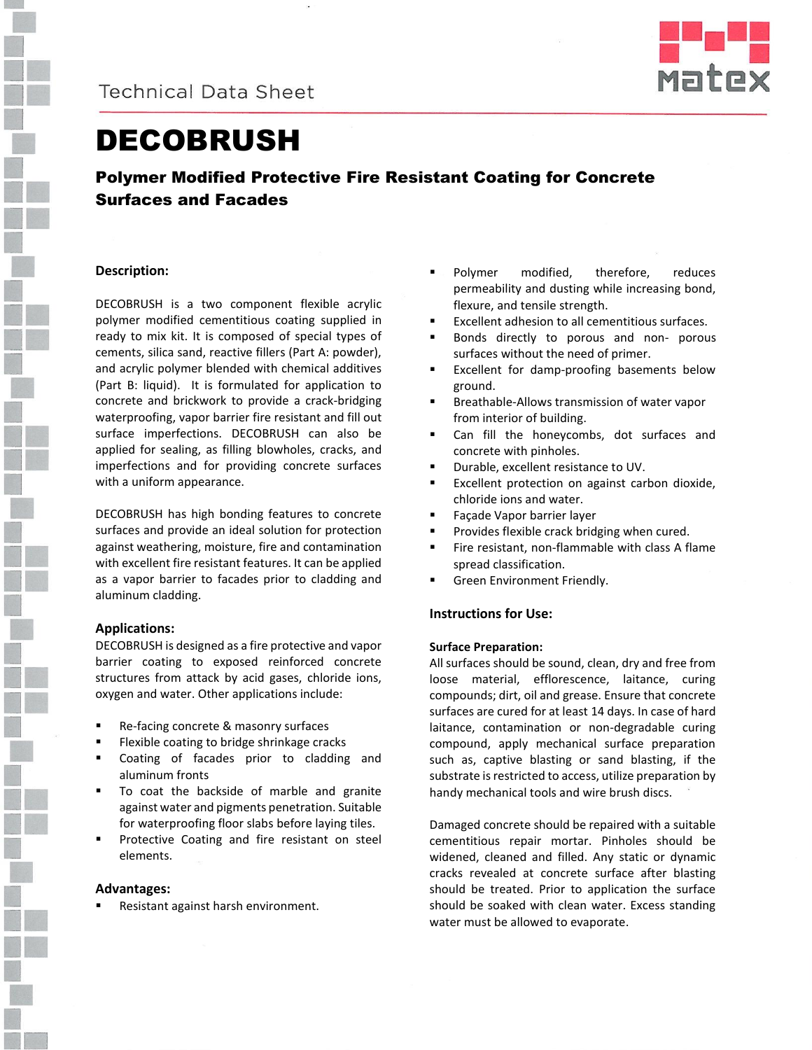



# DECOBRUSH

### Polymer Modified Protective Fire Resistant Coating for Concrete Surfaces and Facades

#### **Description:**

DECOBRUSH is a two component flexible acrylic polymer modified cementitious coating supplied in ready to mix kit. It is composed of special types of cements, silica sand, reactive fillers (Part A: powder), and acrylic polymer blended with chemical additives (Part B: liquid). It is formulated for application to concrete and brickwork to provide a crack-bridging waterproofing, vapor barrier fire resistant and fill out surface imperfections. DECOBRUSH can also be applied for sealing, as filling blowholes, cracks, and imperfections and for providing concrete surfaces with a uniform appearance.

DECOBRUSH has high bonding features to concrete surfaces and provide an ideal solution for protection against weathering, moisture, fire and contamination with excellent fire resistant features. It can be applied as a vapor barrier to facades prior to cladding and aluminum cladding.

#### **Applications:**

DECOBRUSH is designed as a fire protective and vapor barrier coating to exposed reinforced concrete structures from attack by acid gases, chloride ions, oxygen and water. Other applications include:

- Re-facing concrete & masonry surfaces
- Flexible coating to bridge shrinkage cracks
- Coating of facades prior to cladding and aluminum fronts
- To coat the backside of marble and granite against water and pigments penetration. Suitable for waterproofing floor slabs before laying tiles.
- Protective Coating and fire resistant on steel elements.

#### **Advantages:**

Resistant against harsh environment.

- Polymer modified, therefore, reduces permeability and dusting while increasing bond, flexure, and tensile strength.
- Excellent adhesion to all cementitious surfaces.
- **Bonds directly to porous and non- porous** surfaces without the need of primer.
- Excellent for damp-proofing basements below ground.
- Breathable-Allows transmission of water vapor from interior of building.
- Can fill the honeycombs, dot surfaces and concrete with pinholes.
- Durable, excellent resistance to UV.
- **Excellent protection on against carbon dioxide,** chloride ions and water.
- Façade Vapor barrier layer
- Provides flexible crack bridging when cured.
- Fire resistant, non-flammable with class A flame spread classification.
- Green Environment Friendly.

#### **Instructions for Use:**

#### **Surface Preparation:**

All surfaces should be sound, clean, dry and free from loose material, efflorescence, laitance, curing compounds; dirt, oil and grease. Ensure that concrete surfaces are cured for at least 14 days. In case of hard laitance, contamination or non-degradable curing compound, apply mechanical surface preparation such as, captive blasting or sand blasting, if the substrate is restricted to access, utilize preparation by handy mechanical tools and wire brush discs.

Damaged concrete should be repaired with a suitable cementitious repair mortar. Pinholes should be widened, cleaned and filled. Any static or dynamic cracks revealed at concrete surface after blasting should be treated. Prior to application the surface should be soaked with clean water. Excess standing water must be allowed to evaporate.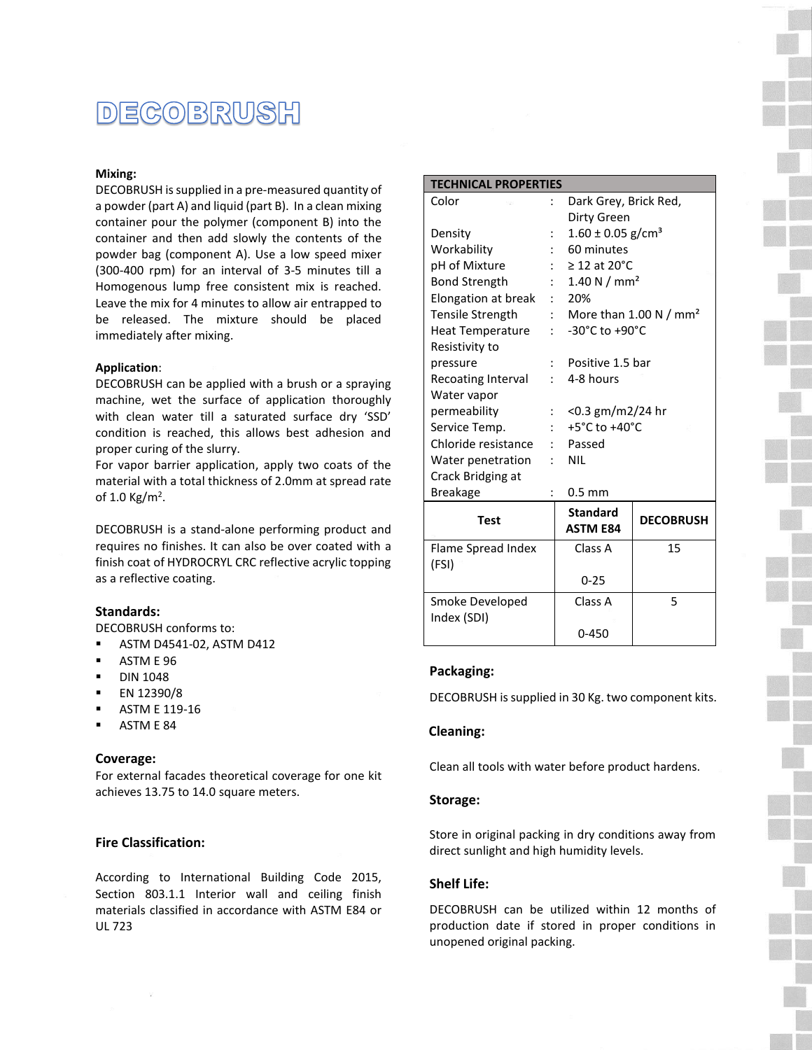### DECOBRUSH

#### **Mixing:**

DECOBRUSH is supplied in a pre-measured quantity of a powder (part A) and liquid (part B). In a clean mixing container pour the polymer (component B) into the container and then add slowly the contents of the powder bag (component A). Use a low speed mixer (300-400 rpm) for an interval of 3-5 minutes till a Homogenous lump free consistent mix is reached. Leave the mix for 4 minutes to allow air entrapped to be released. The mixture should be placed immediately after mixing.

#### **Application**:

DECOBRUSH can be applied with a brush or a spraying machine, wet the surface of application thoroughly with clean water till a saturated surface dry 'SSD' condition is reached, this allows best adhesion and proper curing of the slurry.

For vapor barrier application, apply two coats of the material with a total thickness of 2.0mm at spread rate of 1.0 Kg/m<sup>2</sup>.

DECOBRUSH is a stand-alone performing product and requires no finishes. It can also be over coated with a finish coat of HYDROCRYL CRC reflective acrylic topping as a reflective coating.

#### **Standards:**

DECOBRUSH conforms to:

- ASTM D4541-02, ASTM D412
- **ASTM E 96**
- DIN 1048
- EN 12390/8
- ASTM E 119-16
- ASTM E 84

#### **Coverage:**

For external facades theoretical coverage for one kit achieves 13.75 to 14.0 square meters.

#### **Fire Classification:**

According to International Building Code 2015, Section 803.1.1 Interior wall and ceiling finish materials classified in accordance with ASTM E84 or UL 723

| <b>TECHNICAL PROPERTIES</b> |                           |                                   |                  |
|-----------------------------|---------------------------|-----------------------------------|------------------|
| Color                       |                           | Dark Grey, Brick Red,             |                  |
|                             |                           | Dirty Green                       |                  |
| Density                     |                           | $1.60 \pm 0.05$ g/cm <sup>3</sup> |                  |
| Workability                 |                           | 60 minutes                        |                  |
| pH of Mixture               |                           | $\geq$ 12 at 20°C                 |                  |
| <b>Bond Strength</b>        |                           | 1.40 N / $mm2$                    |                  |
| Elongation at break         |                           | 20%<br>$\mathbf{r}$               |                  |
| <b>Tensile Strength</b>     | $\mathbb{R}^{\mathbb{Z}}$ | More than 1.00 N / $mm2$          |                  |
| Heat Temperature            | $\cdot$ .                 | -30°C to +90°C                    |                  |
| Resistivity to              |                           |                                   |                  |
| pressure                    |                           | Positive 1.5 bar                  |                  |
| Recoating Interval          |                           | 4-8 hours                         |                  |
| Water vapor                 |                           |                                   |                  |
| permeability                | $\ddot{\cdot}$            | $<$ 0.3 gm/m2/24 hr               |                  |
| Service Temp.               |                           | $+5^{\circ}$ C to $+40^{\circ}$ C |                  |
| Chloride resistance         |                           | Passed                            |                  |
| Water penetration           |                           | <b>NIL</b>                        |                  |
| Crack Bridging at           |                           |                                   |                  |
| <b>Breakage</b>             |                           | $0.5$ mm                          |                  |
| <b>Test</b>                 |                           | <b>Standard</b>                   | <b>DECOBRUSH</b> |
|                             |                           | <b>ASTM E84</b>                   |                  |
| Flame Spread Index          |                           | Class A                           | 15               |
| (FSI)                       |                           |                                   |                  |
|                             |                           | $0 - 25$                          |                  |
| Smoke Developed             |                           | Class A                           | 5                |

#### **Packaging:**

Index (SDI)

DECOBRUSH is supplied in 30 Kg. two component kits.

0-450

#### **Cleaning:**

Clean all tools with water before product hardens.

#### **Storage:**

Store in original packing in dry conditions away from direct sunlight and high humidity levels.

#### **Shelf Life:**

DECOBRUSH can be utilized within 12 months of production date if stored in proper conditions in unopened original packing.